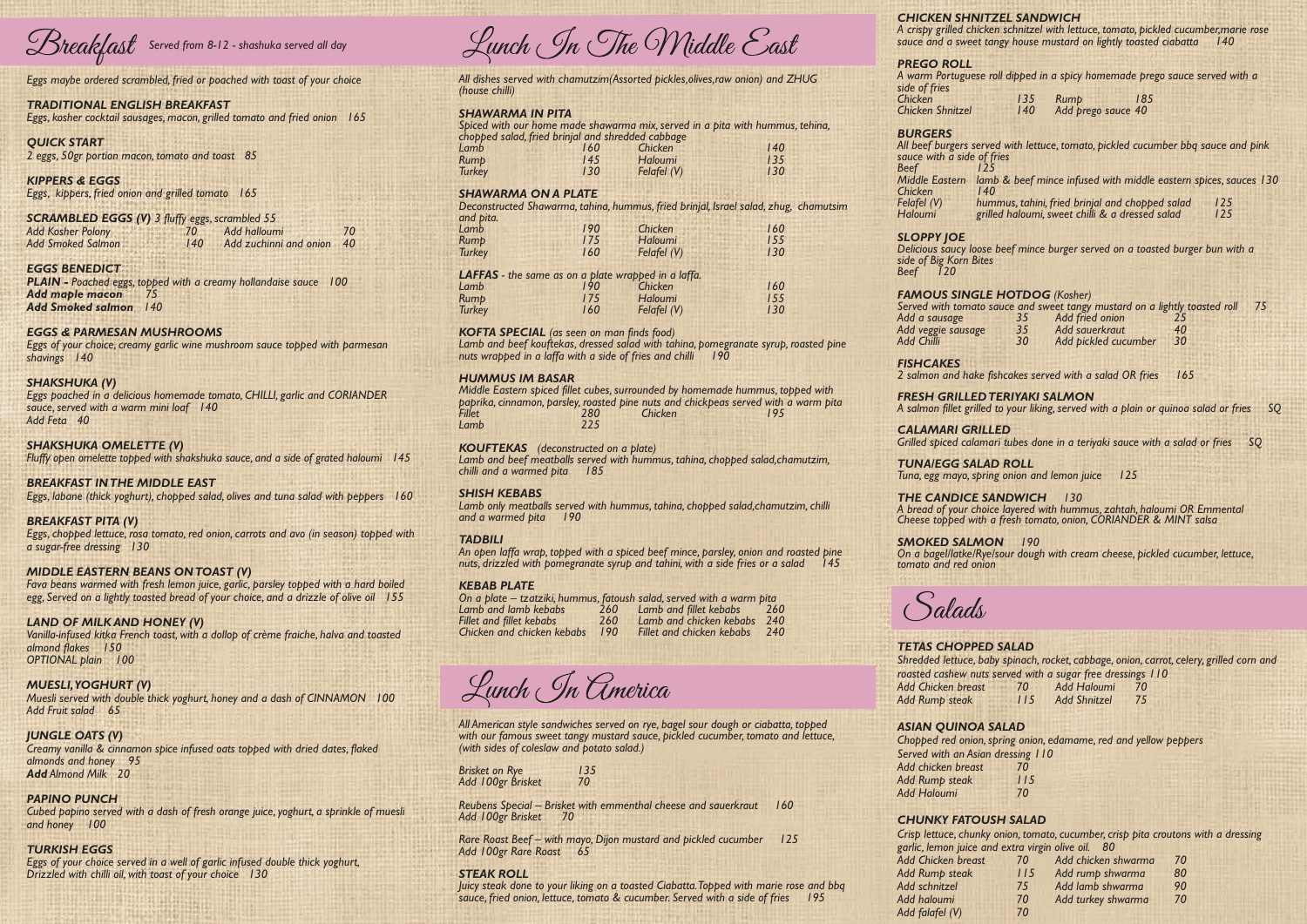*All dishes served with chamutzim(Assorted pickles,olives,raw onion) and ZHUG (house chilli)*

# *SHAWARMA IN PITA*

*Spiced with our home made shawarma mix, served in a pita with hummus, tehina, chopped salad, fried brinjal and shredded cabbage Lamb 160 Chicken 140*

| Rump          | 145 | Haloumi       | 135 |
|---------------|-----|---------------|-----|
| <b>Turkey</b> | 130 | Felafel $(V)$ | 130 |
|               |     |               |     |

# *SHAWARMA ON A PLATE*

*Deconstructed Shawarma, tahina, hummus, fried brinjal, Israel salad, zhug, chamutsim and pita. Lamb 190 Chicken 160*

Lamb and beef kouftekas, dressed salad with tahina, pomegranate syrup, roasted pine *nuts wrapped in a laffa with a side of fries and chilli 190*

*Middle Eastern spiced fillet cubes, surrounded by homemade hummus, topped with paprika, cinnamon, parsley, roasted pine nuts and chickpeas served with a warm pita Fillet 280 Chicken 195* Lamb

| <b>Rump</b><br><b>Turkey</b>                               | 175<br>160 | Haloumi<br>Felafel (V) | $\sim$ $\sim$<br>155<br>130 |
|------------------------------------------------------------|------------|------------------------|-----------------------------|
| <b>LAFFAS</b> - the same as on a plate wrapped in a laffa. |            |                        |                             |
| Lamb<br><b>Rump</b>                                        | 190<br>175 | Chicken<br>Haloumi     | 160<br>155                  |
| <b>Turkey</b>                                              | 160        | Felafel (V)            | 130                         |
|                                                            |            |                        |                             |

*TADBILI An open laffa wrap, topped with a spiced beef mince, parsley, onion and roasted pine nuts, drizzled with pomegranate syrup and tahini, with a side fries or a salad* 

*KOFTA SPECIAL (as seen on man finds food)*

# *HUMMUS IM BASAR*

*Brisket on Rye 135*  Add 100gr Brisket

# *KOUFTEKAS (deconstructed on a plate)*

*Lamb and beef meatballs served with hummus, tahina, chopped salad,chamutzim, chilli and a warmed pita 185*

# *SHISH KEBABS*

*Lamb only meatballs served with hummus, tahina, chopped salad,chamutzim, chilli and a warmed pita 190*

# *KEBAB PLATE*

- *On a plate tzatziki, hummus, fatoush salad, served with a warm pita Lamb and lamb kebabs 260 Lamb and fillet kebabs 260*
	-

Lunch In America

*Fillet and fillet kebabs 260 Lamb and chicken kebabs 240 Chicken and chicken kebabs 190 Fillet and chicken kebabs 240*

*All American style sandwiches served on rye, bagel sour dough or ciabatta, topped*  with our famous sweet tangy mustard sauce, pickled cucumber, tomato and lettuce, *(with sides of coleslaw and potato salad.)* 

*Reubens Special – Brisket with emmenthal cheese and sauerkraut 160 Add 100gr Brisket 70*

*Rare Roast Beef – with mayo, Dijon mustard and pickled cucumber 125 Add 100gr Rare Roast 65*

# *STEAK ROLL*

*Juicy steak done to your liking on a toasted Ciabatta. Topped with marie rose and bbq sauce, fried onion, lettuce, tomato & cucumber. Served with a side of fries 195*

*Eggs maybe ordered scrambled, fried or poached with toast of your choice*

*sauce with a side of fries Beef 125 Chicken*<br>**Felafel** (V)

# *TRADITIONAL ENGLISH BREAKFAST*

*Eggs, kosher cocktail sausages, macon, grilled tomato and fried onion 165*

*Felafel (V) hummus, tahini, fried brinjal and chopped salad 125* grilled haloumi, sweet chilli & a dressed salad

*QUICK START 2 eggs, 50gr portion macon, tomato and toast 85*

*KIPPERS & EGGS Eggs, kippers, fried onion and grilled tomato 165*

> *Served with tomato sauce and sweet tangy mustard on a lightly toasted roll 75 Add a sausage 35 Add fried onion 25 Add veggie sausage 35 Add sauerkraut 40* Add pickled cucumber

# *SCRAMBLED EGGS (V) 3 fluffy eggs, scrambled 55 Add Kosher Polony 70 Add halloumi 70*

*Add Smoked Salmon 140 Add zuchinni and onion 40*

# *EGGS BENEDICT*

*PLAIN - Poached eggs, topped with a creamy hollandaise sauce 100 Add maple macon 75 Add Smoked salmon 140*

# *EGGS & PARMESAN MUSHROOMS*

*Eggs of your choice, creamy garlic wine mushroom sauce topped with parmesan shavings 140*

# *SHAKSHUKA (V)*

*Eggs poached in a delicious homemade tomato, CHILLI, garlic and CORIANDER sauce, served with a warm mini loaf 140 Add Feta 40*

# *SHAKSHUKA OMELETTE (V)*

*Fluffy open omelette topped with shakshuka sauce, and a side of grated haloumi 145*

# *BREAKFAST IN THE MIDDLE EAST*

*Eggs, labane (thick yoghurt), chopped salad, olives and tuna salad with peppers 160*

# *BREAKFAST PITA (V)*

*Eggs, chopped lettuce, rosa tomato, red onion, carrots and avo (in season) topped with a sugar-free dressing 130*

# *MIDDLE EASTERN BEANS ON TOAST (V)*

*Fava beans warmed with fresh lemon juice, garlic, parsley topped with a hard boiled egg, Served on a lightly toasted bread of your choice, and a drizzle of olive oil 155*

# *LAND OF MILK AND HONEY (V)*

*Vanilla-infused kitka French toast, with a dollop of crème fraiche, halva and toasted almond flakes 150 OPTIONAL plain 100* 

# *MUESLI, YOGHURT (V)*

*Muesli served with double thick yoghurt, honey and a dash of CINNAMON 100 Add Fruit salad 65* 

# *JUNGLE OATS (V)*

*Creamy vanilla & cinnamon spice infused oats topped with dried dates, flaked almonds and honey 95 Add Almond Milk 20*

# **PAPINO PUNCH**

*Cubed papino served with a dash of fresh orange juice, yoghurt, a sprinkle of muesli and honey 100*

# *TURKISH EGGS*

*Eggs of your choice served in a well of garlic infused double thick yoghurt, Drizzled with chilli oil, with toast of your choice 130*

Lunch In The Middle East

# *CHICKEN SHNITZEL SANDWICH*

*A crispy grilled chicken schnitzel with lettuce, tomato, pickled cucumber,marie rose sauce and a sweet tangy house mustard on lightly toasted ciabatta 140*

*A warm Portuguese roll dipped in a spicy homemade prego sauce served with a* 

# *PREGO ROLL side of fries*

*Chicken 135 Rump 185 Chicken Shnitzel 140 Add prego sauce 40*

# *BURGERS*

*All beef burgers served with lettuce, tomato, pickled cucumber bbq sauce and pink* 

*Middle Eastern lamb & beef mince infused with middle eastern spices, sauces 130*

*Delicious saucy loose beef mince burger served on a toasted burger bun with a* 

# *SLOPPY JOE side of Big Korn Bites*

*Beef 120*

#### *FAMOUS SINGLE HOTDOG (Kosher)*

*FISHCAKES*

*2 salmon and hake fishcakes served with a salad OR fries 165*

#### *FRESH GRILLED TERIYAKI SALMON*

*A salmon fillet grilled to your liking, served with a plain or quinoa salad or fries SQ* 

*CALAMARI GRILLED*

*Grilled spiced calamari tubes done in a teriyaki sauce with a salad or fries SQ* 

*TUNA/EGG SALAD ROLL Tuna, egg mayo, spring onion and lemon juice 125*

*THE CANDICE SANDWICH 130 A bread of your choice layered with hummus, zahtah, haloumi OR Emmental Cheese topped with a fresh tomato, onion, CORIANDER & MINT salsa*

*SMOKED SALMON 190 On a bagel/latke/Rye/sour dough with cream cheese, pickled cucumber, lettuce, tomato and red onion*

alads

# *TETAS CHOPPED SALAD*

*Shredded lettuce, baby spinach, rocket, cabbage, onion, carrot, celery, grilled corn and roasted cashew nuts served with a sugar free dressings 110 Add Chicken breast 70 Add Haloumi 70*

*Add Rump steak 115 Add Shnitzel 75*

*ASIAN QUINOA SALAD*

*Chopped red onion, spring onion, edamame, red and yellow peppers*

*Served with an Asian dressing 110 Add chicken breast 70 Add Rump steak 115 Add Haloumi 70*

# *CHUNKY FATOUSH SALAD*

*Crisp lettuce, chunky onion, tomato, cucumber, crisp pita croutons with a dressing garlic, lemon juice and extra virgin olive oil. 80*

| 70  | Add chicken shwarma | 70 |
|-----|---------------------|----|
| 115 | Add rump shwarma    | 80 |
| 75  | Add lamb shwarma    | 90 |
| 70  | Add turkey shwarma  | 70 |
| 70  |                     |    |

*Add Chicken breast 70 Add chicken shwarma 70* Add Rump steak *Add schnitzel 75 Add lamb shwarma 90 Add haloumi 70 Add turkey shwarma 70 Add falafel (V) 70*

# *Served from 8-12 - shashuka served all day*